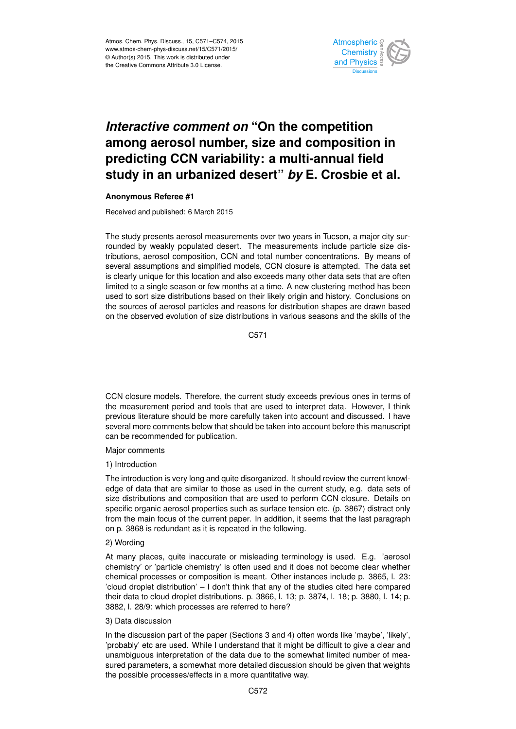

# *Interactive comment on* **"On the competition among aerosol number, size and composition in predicting CCN variability: a multi-annual field study in an urbanized desert"** *by* **E. Crosbie et al.**

## **Anonymous Referee #1**

Received and published: 6 March 2015

The study presents aerosol measurements over two years in Tucson, a major city surrounded by weakly populated desert. The measurements include particle size distributions, aerosol composition, CCN and total number concentrations. By means of several assumptions and simplified models, CCN closure is attempted. The data set is clearly unique for this location and also exceeds many other data sets that are often limited to a single season or few months at a time. A new clustering method has been used to sort size distributions based on their likely origin and history. Conclusions on the sources of aerosol particles and reasons for distribution shapes are drawn based on the observed evolution of size distributions in various seasons and the skills of the

C571

CCN closure models. Therefore, the current study exceeds previous ones in terms of the measurement period and tools that are used to interpret data. However, I think previous literature should be more carefully taken into account and discussed. I have several more comments below that should be taken into account before this manuscript can be recommended for publication.

## Major comments

## 1) Introduction

The introduction is very long and quite disorganized. It should review the current knowledge of data that are similar to those as used in the current study, e.g. data sets of size distributions and composition that are used to perform CCN closure. Details on specific organic aerosol properties such as surface tension etc. (p. 3867) distract only from the main focus of the current paper. In addition, it seems that the last paragraph on p. 3868 is redundant as it is repeated in the following.

## 2) Wording

At many places, quite inaccurate or misleading terminology is used. E.g. 'aerosol chemistry' or 'particle chemistry' is often used and it does not become clear whether chemical processes or composition is meant. Other instances include p. 3865, l. 23: 'cloud droplet distribution' – I don't think that any of the studies cited here compared their data to cloud droplet distributions. p. 3866, l. 13; p. 3874, l. 18; p. 3880, l. 14; p. 3882, l. 28/9: which processes are referred to here?

## 3) Data discussion

In the discussion part of the paper (Sections 3 and 4) often words like 'maybe', 'likely', 'probably' etc are used. While I understand that it might be difficult to give a clear and unambiguous interpretation of the data due to the somewhat limited number of measured parameters, a somewhat more detailed discussion should be given that weights the possible processes/effects in a more quantitative way.